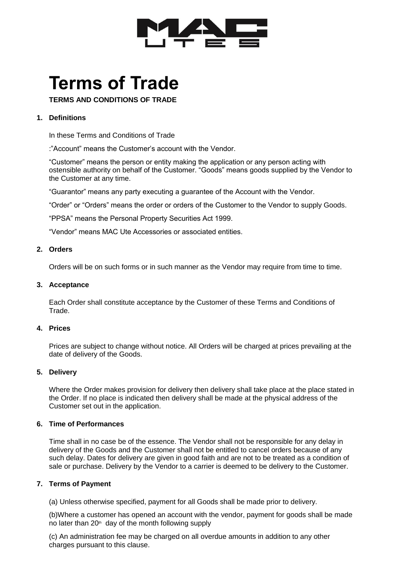

# **Terms of Trade**

**TERMS AND CONDITIONS OF TRADE**

# **1. Definitions**

In these Terms and Conditions of Trade

:"Account" means the Customer's account with the Vendor.

"Customer" means the person or entity making the application or any person acting with ostensible authority on behalf of the Customer. "Goods" means goods supplied by the Vendor to the Customer at any time.

"Guarantor" means any party executing a guarantee of the Account with the Vendor.

"Order" or "Orders" means the order or orders of the Customer to the Vendor to supply Goods.

"PPSA" means the Personal Property Securities Act 1999.

"Vendor" means MAC Ute Accessories or associated entities.

# **2. Orders**

Orders will be on such forms or in such manner as the Vendor may require from time to time.

## **3. Acceptance**

Each Order shall constitute acceptance by the Customer of these Terms and Conditions of Trade.

# **4. Prices**

Prices are subject to change without notice. All Orders will be charged at prices prevailing at the date of delivery of the Goods.

# **5. Delivery**

Where the Order makes provision for delivery then delivery shall take place at the place stated in the Order. If no place is indicated then delivery shall be made at the physical address of the Customer set out in the application.

## **6. Time of Performances**

Time shall in no case be of the essence. The Vendor shall not be responsible for any delay in delivery of the Goods and the Customer shall not be entitled to cancel orders because of any such delay. Dates for delivery are given in good faith and are not to be treated as a condition of sale or purchase. Delivery by the Vendor to a carrier is deemed to be delivery to the Customer.

## **7. Terms of Payment**

(a) Unless otherwise specified, payment for all Goods shall be made prior to delivery.

(b)Where a customer has opened an account with the vendor, payment for goods shall be made no later than  $20<sup>th</sup>$  day of the month following supply

(c) An administration fee may be charged on all overdue amounts in addition to any other charges pursuant to this clause.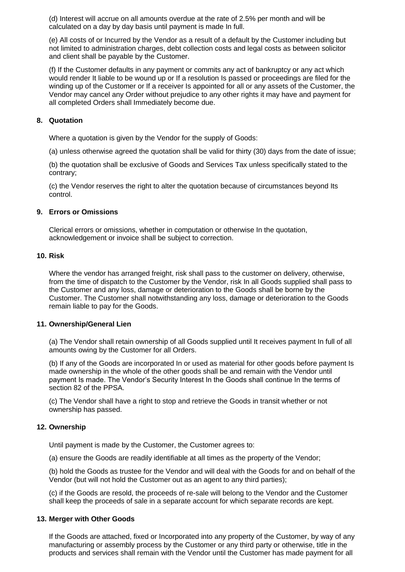(d) Interest will accrue on all amounts overdue at the rate of 2.5% per month and will be calculated on a day by day basis until payment is made In full.

(e) All costs of or Incurred by the Vendor as a result of a default by the Customer including but not limited to administration charges, debt collection costs and legal costs as between solicitor and client shall be payable by the Customer.

(f) If the Customer defaults in any payment or commits any act of bankruptcy or any act which would render It liable to be wound up or If a resolution Is passed or proceedings are filed for the winding up of the Customer or If a receiver Is appointed for all or any assets of the Customer, the Vendor may cancel any Order without prejudice to any other rights it may have and payment for all completed Orders shall Immediately become due.

## **8. Quotation**

Where a quotation is given by the Vendor for the supply of Goods:

(a) unless otherwise agreed the quotation shall be valid for thirty (30) days from the date of issue;

(b) the quotation shall be exclusive of Goods and Services Tax unless specifically stated to the contrary;

(c) the Vendor reserves the right to alter the quotation because of circumstances beyond Its control.

## **9. Errors or Omissions**

Clerical errors or omissions, whether in computation or otherwise In the quotation, acknowledgement or invoice shall be subject to correction.

## **10. Risk**

Where the vendor has arranged freight, risk shall pass to the customer on delivery, otherwise, from the time of dispatch to the Customer by the Vendor, risk In all Goods supplied shall pass to the Customer and any loss, damage or deterioration to the Goods shall be borne by the Customer. The Customer shall notwithstanding any loss, damage or deterioration to the Goods remain liable to pay for the Goods.

## **11. Ownership/General Lien**

(a) The Vendor shall retain ownership of all Goods supplied until It receives payment In full of all amounts owing by the Customer for all Orders.

(b) If any of the Goods are incorporated In or used as material for other goods before payment Is made ownership in the whole of the other goods shall be and remain with the Vendor until payment Is made. The Vendor's Security Interest In the Goods shall continue In the terms of section 82 of the PPSA.

(c) The Vendor shall have a right to stop and retrieve the Goods in transit whether or not ownership has passed.

## **12. Ownership**

Until payment is made by the Customer, the Customer agrees to:

(a) ensure the Goods are readily identifiable at all times as the property of the Vendor;

(b) hold the Goods as trustee for the Vendor and will deal with the Goods for and on behalf of the Vendor (but will not hold the Customer out as an agent to any third parties);

(c) if the Goods are resold, the proceeds of re-sale will belong to the Vendor and the Customer shall keep the proceeds of sale in a separate account for which separate records are kept.

## **13. Merger with Other Goods**

If the Goods are attached, fixed or Incorporated into any property of the Customer, by way of any manufacturing or assembly process by the Customer or any third party or otherwise, title in the products and services shall remain with the Vendor until the Customer has made payment for all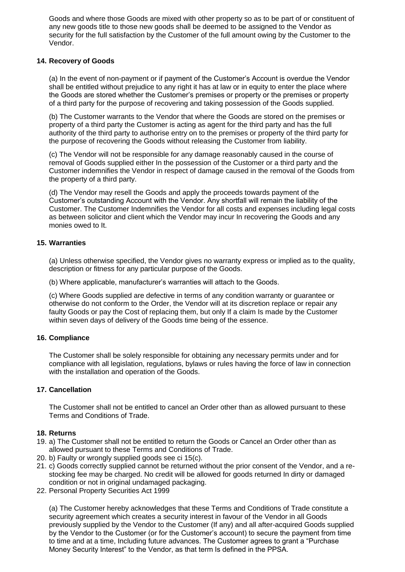Goods and where those Goods are mixed with other property so as to be part of or constituent of any new goods title to those new goods shall be deemed to be assigned to the Vendor as security for the full satisfaction by the Customer of the full amount owing by the Customer to the Vendor.

## **14. Recovery of Goods**

(a) In the event of non-payment or if payment of the Customer's Account is overdue the Vendor shall be entitled without prejudice to any right it has at law or in equity to enter the place where the Goods are stored whether the Customer's premises or property or the premises or property of a third party for the purpose of recovering and taking possession of the Goods supplied.

(b) The Customer warrants to the Vendor that where the Goods are stored on the premises or property of a third party the Customer is acting as agent for the third party and has the full authority of the third party to authorise entry on to the premises or property of the third party for the purpose of recovering the Goods without releasing the Customer from liability.

(c) The Vendor will not be responsible for any damage reasonably caused in the course of removal of Goods supplied either In the possession of the Customer or a third party and the Customer indemnifies the Vendor in respect of damage caused in the removal of the Goods from the property of a third party.

(d) The Vendor may resell the Goods and apply the proceeds towards payment of the Customer's outstanding Account with the Vendor. Any shortfall will remain the liability of the Customer. The Customer Indemnifies the Vendor for all costs and expenses including legal costs as between solicitor and client which the Vendor may incur In recovering the Goods and any monies owed to It.

## **15. Warranties**

(a) Unless otherwise specified, the Vendor gives no warranty express or implied as to the quality, description or fitness for any particular purpose of the Goods.

(b) Where applicable, manufacturer's warranties will attach to the Goods.

(c) Where Goods supplied are defective in terms of any condition warranty or guarantee or otherwise do not conform to the Order, the Vendor will at its discretion replace or repair any faulty Goods or pay the Cost of replacing them, but only If a claim Is made by the Customer within seven days of delivery of the Goods time being of the essence.

## **16. Compliance**

The Customer shall be solely responsible for obtaining any necessary permits under and for compliance with all legislation, regulations, bylaws or rules having the force of law in connection with the installation and operation of the Goods.

# **17. Cancellation**

The Customer shall not be entitled to cancel an Order other than as allowed pursuant to these Terms and Conditions of Trade.

## **18. Returns**

- 19. a) The Customer shall not be entitled to return the Goods or Cancel an Order other than as allowed pursuant to these Terms and Conditions of Trade.
- 20. b) Faulty or wrongly supplied goods see ci 15(c).
- 21. c) Goods correctly supplied cannot be returned without the prior consent of the Vendor, and a restocking fee may be charged. No credit will be allowed for goods returned In dirty or damaged condition or not in original undamaged packaging.
- 22. Personal Property Securities Act 1999

(a) The Customer hereby acknowledges that these Terms and Conditions of Trade constitute a security agreement which creates a security interest in favour of the Vendor in all Goods previously supplied by the Vendor to the Customer (If any) and all after-acquired Goods supplied by the Vendor to the Customer (or for the Customer's account) to secure the payment from time to time and at a time, Including future advances. The Customer agrees to grant a "Purchase Money Security Interest" to the Vendor, as that term Is defined in the PPSA.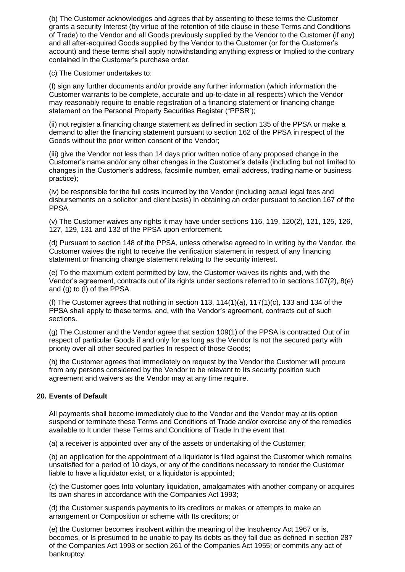(b) The Customer acknowledges and agrees that by assenting to these terms the Customer grants a security Interest (by virtue of the retention of title clause in these Terms and Conditions of Trade) to the Vendor and all Goods previously supplied by the Vendor to the Customer (if any) and all after-acquired Goods supplied by the Vendor to the Customer (or for the Customer's account) and these terms shall apply notwithstanding anything express or Implied to the contrary contained In the Customer's purchase order.

(c) The Customer undertakes to:

(I) sign any further documents and/or provide any further information (which information the Customer warrants to be complete, accurate and up-to-date in all respects) which the Vendor may reasonably require to enable registration of a financing statement or financing change statement on the Personal Property Securities Register ("PPSR');

(ii) not register a financing change statement as defined in section 135 of the PPSA or make a demand to alter the financing statement pursuant to section 162 of the PPSA in respect of the Goods without the prior written consent of the Vendor;

(iii) give the Vendor not less than 14 days prior written notice of any proposed change in the Customer's name and/or any other changes in the Customer's details (including but not limited to changes in the Customer's address, facsimile number, email address, trading name or business practice);

(iv) be responsible for the full costs incurred by the Vendor (Including actual legal fees and disbursements on a solicitor and client basis) In obtaining an order pursuant to section 167 of the PPSA.

(v) The Customer waives any rights it may have under sections 116, 119, 120(2), 121, 125, 126, 127, 129, 131 and 132 of the PPSA upon enforcement.

(d) Pursuant to section 148 of the PPSA, unless otherwise agreed to In writing by the Vendor, the Customer waives the right to receive the verification statement in respect of any financing statement or financing change statement relating to the security interest.

(e) To the maximum extent permitted by law, the Customer waives its rights and, with the Vendor's agreement, contracts out of its rights under sections referred to in sections 107(2), 8(e) and (g) to (I) of the PPSA.

(f) The Customer agrees that nothing in section 113,  $114(1)(a)$ ,  $117(1)(c)$ , 133 and 134 of the PPSA shall apply to these terms, and, with the Vendor's agreement, contracts out of such sections.

(g) The Customer and the Vendor agree that section 109(1) of the PPSA is contracted Out of in respect of particular Goods if and only for as long as the Vendor Is not the secured party with priority over all other secured parties In respect of those Goods;

(h) the Customer agrees that immediately on request by the Vendor the Customer will procure from any persons considered by the Vendor to be relevant to Its security position such agreement and waivers as the Vendor may at any time require.

## **20. Events of Default**

All payments shall become immediately due to the Vendor and the Vendor may at its option suspend or terminate these Terms and Conditions of Trade and/or exercise any of the remedies available to It under these Terms and Conditions of Trade In the event that

(a) a receiver is appointed over any of the assets or undertaking of the Customer;

(b) an application for the appointment of a liquidator is filed against the Customer which remains unsatisfied for a period of 10 days, or any of the conditions necessary to render the Customer liable to have a liquidator exist, or a liquidator is appointed;

(c) the Customer goes Into voluntary liquidation, amalgamates with another company or acquires Its own shares in accordance with the Companies Act 1993;

(d) the Customer suspends payments to its creditors or makes or attempts to make an arrangement or Composition or scheme with Its creditors; or

(e) the Customer becomes insolvent within the meaning of the Insolvency Act 1967 or is, becomes, or Is presumed to be unable to pay Its debts as they fall due as defined in section 287 of the Companies Act 1993 or section 261 of the Companies Act 1955; or commits any act of bankruptcy.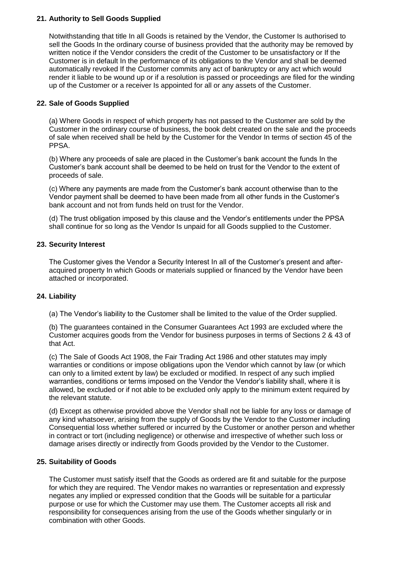## **21. Authority to Sell Goods Supplied**

Notwithstanding that title In all Goods is retained by the Vendor, the Customer Is authorised to sell the Goods In the ordinary course of business provided that the authority may be removed by written notice if the Vendor considers the credit of the Customer to be unsatisfactory or If the Customer is in default In the performance of its obligations to the Vendor and shall be deemed automatically revoked If the Customer commits any act of bankruptcy or any act which would render it liable to be wound up or if a resolution is passed or proceedings are filed for the winding up of the Customer or a receiver Is appointed for all or any assets of the Customer.

## **22. Sale of Goods Supplied**

(a) Where Goods in respect of which property has not passed to the Customer are sold by the Customer in the ordinary course of business, the book debt created on the sale and the proceeds of sale when received shall be held by the Customer for the Vendor In terms of section 45 of the PPSA.

(b) Where any proceeds of sale are placed in the Customer's bank account the funds In the Customer's bank account shall be deemed to be held on trust for the Vendor to the extent of proceeds of sale.

(c) Where any payments are made from the Customer's bank account otherwise than to the Vendor payment shall be deemed to have been made from all other funds in the Customer's bank account and not from funds held on trust for the Vendor.

(d) The trust obligation imposed by this clause and the Vendor's entitlements under the PPSA shall continue for so long as the Vendor Is unpaid for all Goods supplied to the Customer.

## **23. Security Interest**

The Customer gives the Vendor a Security Interest In all of the Customer's present and afteracquired property In which Goods or materials supplied or financed by the Vendor have been attached or incorporated.

## **24. Liability**

(a) The Vendor's liability to the Customer shall be limited to the value of the Order supplied.

(b) The guarantees contained in the Consumer Guarantees Act 1993 are excluded where the Customer acquires goods from the Vendor for business purposes in terms of Sections 2 & 43 of that Act.

(c) The Sale of Goods Act 1908, the Fair Trading Act 1986 and other statutes may imply warranties or conditions or impose obligations upon the Vendor which cannot by law (or which can only to a limited extent by law) be excluded or modified. In respect of any such implied warranties, conditions or terms imposed on the Vendor the Vendor's liability shall, where it is allowed, be excluded or if not able to be excluded only apply to the minimum extent required by the relevant statute.

(d) Except as otherwise provided above the Vendor shall not be liable for any loss or damage of any kind whatsoever, arising from the supply of Goods by the Vendor to the Customer including Consequential loss whether suffered or incurred by the Customer or another person and whether in contract or tort (including negligence) or otherwise and irrespective of whether such loss or damage arises directly or indirectly from Goods provided by the Vendor to the Customer.

## **25. Suitability of Goods**

The Customer must satisfy itself that the Goods as ordered are fit and suitable for the purpose for which they are required. The Vendor makes no warranties or representation and expressly negates any implied or expressed condition that the Goods will be suitable for a particular purpose or use for which the Customer may use them. The Customer accepts all risk and responsibility for consequences arising from the use of the Goods whether singularly or in combination with other Goods.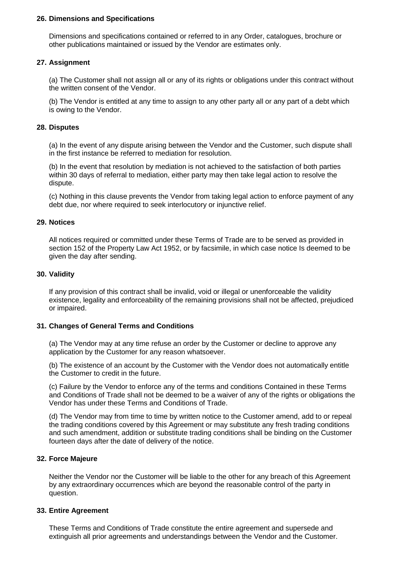#### **26. Dimensions and Specifications**

Dimensions and specifications contained or referred to in any Order, catalogues, brochure or other publications maintained or issued by the Vendor are estimates only.

## **27. Assignment**

(a) The Customer shall not assign all or any of its rights or obligations under this contract without the written consent of the Vendor.

(b) The Vendor is entitled at any time to assign to any other party all or any part of a debt which is owing to the Vendor.

#### **28. Disputes**

(a) In the event of any dispute arising between the Vendor and the Customer, such dispute shall in the first instance be referred to mediation for resolution.

(b) In the event that resolution by mediation is not achieved to the satisfaction of both parties within 30 days of referral to mediation, either party may then take legal action to resolve the dispute.

(c) Nothing in this clause prevents the Vendor from taking legal action to enforce payment of any debt due, nor where required to seek interlocutory or injunctive relief.

#### **29. Notices**

All notices required or committed under these Terms of Trade are to be served as provided in section 152 of the Property Law Act 1952, or by facsimile, in which case notice Is deemed to be given the day after sending.

#### **30. Validity**

If any provision of this contract shall be invalid, void or illegal or unenforceable the validity existence, legality and enforceability of the remaining provisions shall not be affected, prejudiced or impaired.

#### **31. Changes of General Terms and Conditions**

(a) The Vendor may at any time refuse an order by the Customer or decline to approve any application by the Customer for any reason whatsoever.

(b) The existence of an account by the Customer with the Vendor does not automatically entitle the Customer to credit in the future.

(c) Failure by the Vendor to enforce any of the terms and conditions Contained in these Terms and Conditions of Trade shall not be deemed to be a waiver of any of the rights or obligations the Vendor has under these Terms and Conditions of Trade.

(d) The Vendor may from time to time by written notice to the Customer amend, add to or repeal the trading conditions covered by this Agreement or may substitute any fresh trading conditions and such amendment, addition or substitute trading conditions shall be binding on the Customer fourteen days after the date of delivery of the notice.

## **32. Force Majeure**

Neither the Vendor nor the Customer will be liable to the other for any breach of this Agreement by any extraordinary occurrences which are beyond the reasonable control of the party in question.

#### **33. Entire Agreement**

These Terms and Conditions of Trade constitute the entire agreement and supersede and extinguish all prior agreements and understandings between the Vendor and the Customer.